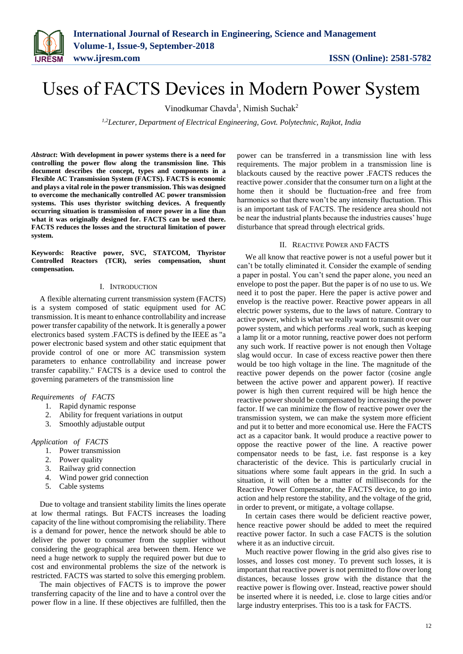# Uses of FACTS Devices in Modern Power System

Vinodkumar Chavda<sup>1</sup>, Nimish Suchak<sup>2</sup>

*1,2Lecturer, Department of Electrical Engineering, Govt. Polytechnic, Rajkot, India*

*Abstract***: With development in power systems there is a need for controlling the power flow along the transmission line. This document describes the concept, types and components in a Flexible AC Transmission System (FACTS). FACTS is economic and plays a vital role in the power transmission. This was designed to overcome the mechanically controlled AC power transmission systems. This uses thyristor switching devices. A frequently occurring situation is transmission of more power in a line than what it was originally designed for. FACTS can be used there. FACTS reduces the losses and the structural limitation of power system.**

**Keywords: Reactive power, SVC, STATCOM, Thyristor Controlled Reactors (TCR), series compensation, shunt compensation.**

### I. INTRODUCTION

A flexible alternating current transmission system (FACTS) is a system composed of static equipment used for AC transmission. It is meant to enhance controllability and increase power transfer capability of the network. It is generally a power electronics based system .FACTS is defined by the IEEE as "a power electronic based system and other static equipment that provide control of one or more AC transmission system parameters to enhance controllability and increase power transfer capability." FACTS is a device used to control the governing parameters of the transmission line

# *Requirements of FACTS*

- 1. Rapid dynamic response
- 2. Ability for frequent variations in output
- 3. Smoothly adjustable output

*Application of FACTS*

- 1. Power transmission
- 2. Power quality
- 3. Railway grid connection
- 4. Wind power grid connection
- 5. Cable systems

Due to voltage and transient stability limits the lines operate at low thermal ratings. But FACTS increases the loading capacity of the line without compromising the reliability. There is a demand for power, hence the network should be able to deliver the power to consumer from the supplier without considering the geographical area between them. Hence we need a huge network to supply the required power but due to cost and environmental problems the size of the network is restricted. FACTS was started to solve this emerging problem.

The main objectives of FACTS is to improve the power transferring capacity of the line and to have a control over the power flow in a line. If these objectives are fulfilled, then the power can be transferred in a transmission line with less requirements. The major problem in a transmission line is blackouts caused by the reactive power .FACTS reduces the reactive power .consider that the consumer turn on a light at the home then it should be fluctuation-free and free from harmonics so that there won't be any intensity fluctuation. This is an important task of FACTS. The residence area should not be near the industrial plants because the industries causes' huge disturbance that spread through electrical grids.

# II. REACTIVE POWER AND FACTS

We all know that reactive power is not a useful power but it can't be totally eliminated it. Consider the example of sending a paper in postal. You can't send the paper alone, you need an envelope to post the paper. But the paper is of no use to us. We need it to post the paper. Here the paper is active power and envelop is the reactive power. Reactive power appears in all electric power systems, due to the laws of nature. Contrary to active power, which is what we really want to transmit over our power system, and which performs .real work, such as keeping a lamp lit or a motor running, reactive power does not perform any such work. If reactive power is not enough then Voltage slag would occur. In case of excess reactive power then there would be too high voltage in the line. The magnitude of the reactive power depends on the power factor (cosine angle between the active power and apparent power). If reactive power is high then current required will be high hence the reactive power should be compensated by increasing the power factor. If we can minimize the flow of reactive power over the transmission system, we can make the system more efficient and put it to better and more economical use. Here the FACTS act as a capacitor bank. It would produce a reactive power to oppose the reactive power of the line. A reactive power compensator needs to be fast, i.e. fast response is a key characteristic of the device. This is particularly crucial in situations where some fault appears in the grid. In such a situation, it will often be a matter of milliseconds for the Reactive Power Compensator, the FACTS device, to go into action and help restore the stability, and the voltage of the grid, in order to prevent, or mitigate, a voltage collapse.

In certain cases there would be deficient reactive power, hence reactive power should be added to meet the required reactive power factor. In such a case FACTS is the solution where it as an inductive circuit.

Much reactive power flowing in the grid also gives rise to losses, and losses cost money. To prevent such losses, it is important that reactive power is not permitted to flow over long distances, because losses grow with the distance that the reactive power is flowing over. Instead, reactive power should be inserted where it is needed, i.e. close to large cities and/or large industry enterprises. This too is a task for FACTS.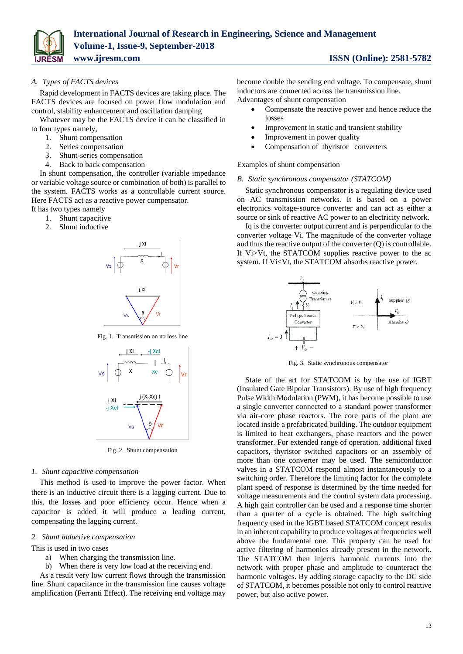

# *A. Types of FACTS devices*

Rapid development in FACTS devices are taking place. The FACTS devices are focused on power flow modulation and control, stability enhancement and oscillation damping

Whatever may be the FACTS device it can be classified in to four types namely,

- 1. Shunt compensation
- 2. Series compensation
- 3. Shunt-series compensation
- 4. Back to back compensation

In shunt compensation, the controller (variable impedance or variable voltage source or combination of both) is parallel to the system. FACTS works as a controllable current source. Here FACTS act as a reactive power compensator.

It has two types namely

- 1. Shunt capacitive
- 2. Shunt inductive



Fig. 1. Transmission on no loss line



Fig. 2. Shunt compensation

### *1. Shunt capacitive compensation*

This method is used to improve the power factor. When there is an inductive circuit there is a lagging current. Due to this, the losses and poor efficiency occur. Hence when a capacitor is added it will produce a leading current, compensating the lagging current.

#### *2. Shunt inductive compensation*

This is used in two cases

- a) When charging the transmission line.
- b) When there is very low load at the receiving end.

As a result very low current flows through the transmission line. Shunt capacitance in the transmission line causes voltage amplification (Ferranti Effect). The receiving end voltage may

become double the sending end voltage. To compensate, shunt inductors are connected across the transmission line. Advantages of shunt compensation

- Compensate the reactive power and hence reduce the losses
- Improvement in static and transient stability
- Improvement in power quality
- Compensation of thyristor converters

Examples of shunt compensation

#### *B. Static synchronous compensator (STATCOM)*

Static synchronous compensator is a regulating device used on AC transmission networks. It is based on a power electronics voltage-source converter and can act as either a source or sink of reactive AC power to an electricity network.

Iq is the converter output current and is perpendicular to the converter voltage Vi. The magnitude of the converter voltage and thus the reactive output of the converter (Q) is controllable. If Vi>Vt, the STATCOM supplies reactive power to the ac system. If Vi<Vt, the STATCOM absorbs reactive power.



Fig. 3. Static synchronous compensator

State of the art for STATCOM is by the use of IGBT (Insulated Gate Bipolar Transistors). By use of high frequency Pulse Width Modulation (PWM), it has become possible to use a single converter connected to a standard power transformer via air-core phase reactors. The core parts of the plant are located inside a prefabricated building. The outdoor equipment is limited to heat exchangers, phase reactors and the power transformer. For extended range of operation, additional fixed capacitors, thyristor switched capacitors or an assembly of more than one converter may be used. The semiconductor valves in a STATCOM respond almost instantaneously to a switching order. Therefore the limiting factor for the complete plant speed of response is determined by the time needed for voltage measurements and the control system data processing. A high gain controller can be used and a response time shorter than a quarter of a cycle is obtained. The high switching frequency used in the IGBT based STATCOM concept results in an inherent capability to produce voltages at frequencies well above the fundamental one. This property can be used for active filtering of harmonics already present in the network. The STATCOM then injects harmonic currents into the network with proper phase and amplitude to counteract the harmonic voltages. By adding storage capacity to the DC side of STATCOM, it becomes possible not only to control reactive power, but also active power.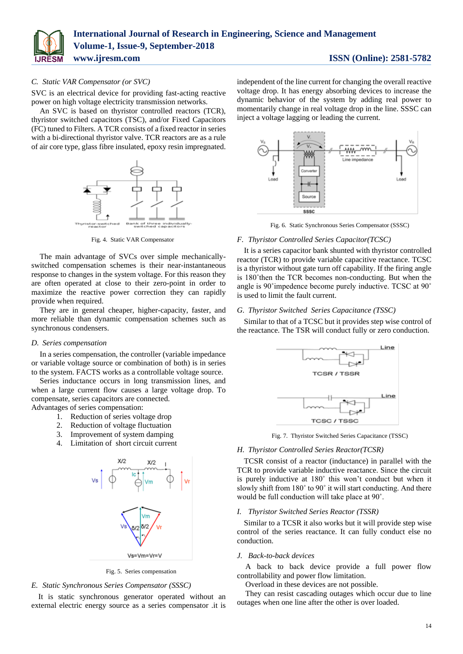

# *C. Static VAR Compensator (or SVC)*

SVC is an electrical device for providing fast-acting reactive power on high voltage electricity transmission networks.

An SVC is based on thyristor controlled reactors (TCR), thyristor switched capacitors (TSC), and/or Fixed Capacitors (FC) tuned to Filters. A TCR consists of a fixed reactor in series with a bi-directional thyristor valve. TCR reactors are as a rule of air core type, glass fibre insulated, epoxy resin impregnated.



Fig. 4. Static VAR Compensator

The main advantage of SVCs over simple mechanicallyswitched compensation schemes is their near-instantaneous response to changes in the system voltage. For this reason they are often operated at close to their zero-point in order to maximize the reactive power correction they can rapidly provide when required.

They are in general cheaper, higher-capacity, faster, and more reliable than dynamic compensation schemes such as synchronous condensers.

### *D. Series compensation*

In a series compensation, the controller (variable impedance or variable voltage source or combination of both) is in series to the system. FACTS works as a controllable voltage source.

Series inductance occurs in long transmission lines, and when a large current flow causes a large voltage drop. To compensate, series capacitors are connected. Advantages of series compensation:

1. Reduction of series voltage drop

- 2. Reduction of voltage fluctuation
- 3. Improvement of system damping
- 4. Limitation of short circuit current



Fig. 5. Series compensation

#### *E. Static Synchronous Series Compensator (SSSC)*

It is static synchronous generator operated without an external electric energy source as a series compensator .it is independent of the line current for changing the overall reactive voltage drop. It has energy absorbing devices to increase the dynamic behavior of the system by adding real power to momentarily change in real voltage drop in the line. SSSC can inject a voltage lagging or leading the current.



Fig. 6. Static Synchronous Series Compensator (SSSC)

#### *F. Thyristor Controlled Series Capacitor(TCSC)*

It is a series capacitor bank shunted with thyristor controlled reactor (TCR) to provide variable capacitive reactance. TCSC is a thyristor without gate turn off capability. If the firing angle is 180˚then the TCR becomes non-conducting. But when the angle is 90˚impedence become purely inductive. TCSC at 90˚ is used to limit the fault current.

# *G. Thyristor Switched Series Capacitance (TSSC)*

Similar to that of a TCSC but it provides step wise control of the reactance. The TSR will conduct fully or zero conduction.



Fig. 7. Thyristor Switched Series Capacitance (TSSC)

#### *H. Thyristor Controlled Series Reactor(TCSR)*

TCSR consist of a reactor (inductance) in parallel with the TCR to provide variable inductive reactance. Since the circuit is purely inductive at 180˚ this won't conduct but when it slowly shift from 180˚ to 90˚ it will start conducting. And there would be full conduction will take place at 90˚.

#### *I. Thyristor Switched Series Reactor (TSSR)*

Similar to a TCSR it also works but it will provide step wise control of the series reactance. It can fully conduct else no conduction.

#### *J. Back-to-back devices*

A back to back device provide a full power flow controllability and power flow limitation.

Overload in these devices are not possible.

They can resist cascading outages which occur due to line outages when one line after the other is over loaded.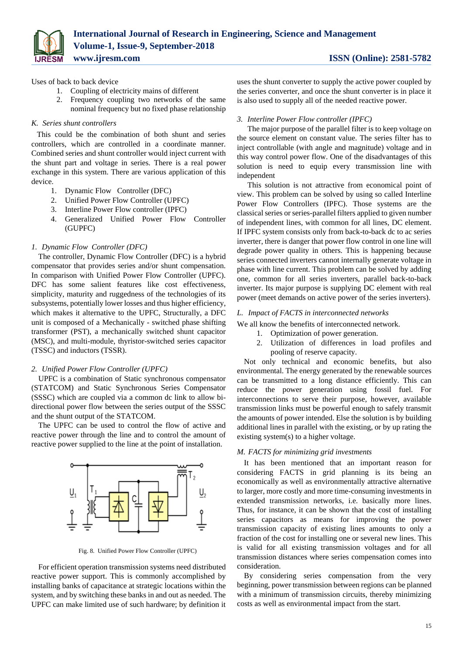

Uses of back to back device

- 1. Coupling of electricity mains of different
- 2. Frequency coupling two networks of the same nominal frequency but no fixed phase relationship

# *K. Series shunt controllers*

This could be the combination of both shunt and series controllers, which are controlled in a coordinate manner. Combined series and shunt controller would inject current with the shunt part and voltage in series. There is a real power exchange in this system. There are various application of this device.

- 1. Dynamic Flow Controller (DFC)
- 2. Unified Power Flow Controller (UPFC)
- 3. Interline Power Flow controller (IPFC)
- 4. Generalized Unified Power Flow Controller (GUPFC)

# *1. Dynamic Flow Controller (DFC)*

The controller, Dynamic Flow Controller (DFC) is a hybrid compensator that provides series and/or shunt compensation. In comparison with Unified Power Flow Controller (UPFC). DFC has some salient features like cost effectiveness, simplicity, maturity and ruggedness of the technologies of its subsystems, potentially lower losses and thus higher efficiency, which makes it alternative to the UPFC, Structurally, a DFC unit is composed of a Mechanically - switched phase shifting transformer (PST), a mechanically switched shunt capacitor (MSC), and multi-module, thyristor-switched series capacitor (TSSC) and inductors (TSSR).

# *2. Unified Power Flow Controller (UPFC)*

UPFC is a combination of Static synchronous compensator (STATCOM) and Static Synchronous Series Compensator (SSSC) which are coupled via a common dc link to allow bidirectional power flow between the series output of the SSSC and the shunt output of the STATCOM.

The UPFC can be used to control the flow of active and reactive power through the line and to control the amount of reactive power supplied to the line at the point of installation.



Fig. 8. Unified Power Flow Controller (UPFC)

For efficient operation transmission systems need distributed reactive power support. This is commonly accomplished by installing banks of capacitance at strategic locations within the system, and by switching these banks in and out as needed. The UPFC can make limited use of such hardware; by definition it uses the shunt converter to supply the active power coupled by the series converter, and once the shunt converter is in place it is also used to supply all of the needed reactive power.

# *3. Interline Power Flow controller (IPFC)*

The major purpose of the parallel filter is to keep voltage on the source element on constant value. The series filter has to inject controllable (with angle and magnitude) voltage and in this way control power flow. One of the disadvantages of this solution is need to equip every transmission line with independent

This solution is not attractive from economical point of view. This problem can be solved by using so called Interline Power Flow Controllers (IPFC). Those systems are the classical series or series-parallel filters applied to given number of independent lines, with common for all lines, DC element. If IPFC system consists only from back-to-back dc to ac series inverter, there is danger that power flow control in one line will degrade power quality in others. This is happening because series connected inverters cannot internally generate voltage in phase with line current. This problem can be solved by adding one, common for all series inverters, parallel back-to-back inverter. Its major purpose is supplying DC element with real power (meet demands on active power of the series inverters).

# *L. Impact of FACTS in interconnected networks*

We all know the benefits of interconnected network.

- 1. Optimization of power generation.
- 2. Utilization of differences in load profiles and pooling of reserve capacity.

Not only technical and economic benefits, but also environmental. The energy generated by the renewable sources can be transmitted to a long distance efficiently. This can reduce the power generation using fossil fuel. For interconnections to serve their purpose, however, available transmission links must be powerful enough to safely transmit the amounts of power intended. Else the solution is by building additional lines in parallel with the existing, or by up rating the existing system(s) to a higher voltage.

# *M. FACTS for minimizing grid investments*

It has been mentioned that an important reason for considering FACTS in grid planning is its being an economically as well as environmentally attractive alternative to larger, more costly and more time-consuming investments in extended transmission networks, i.e. basically more lines. Thus, for instance, it can be shown that the cost of installing series capacitors as means for improving the power transmission capacity of existing lines amounts to only a fraction of the cost for installing one or several new lines. This is valid for all existing transmission voltages and for all transmission distances where series compensation comes into consideration.

By considering series compensation from the very beginning, power transmission between regions can be planned with a minimum of transmission circuits, thereby minimizing costs as well as environmental impact from the start.